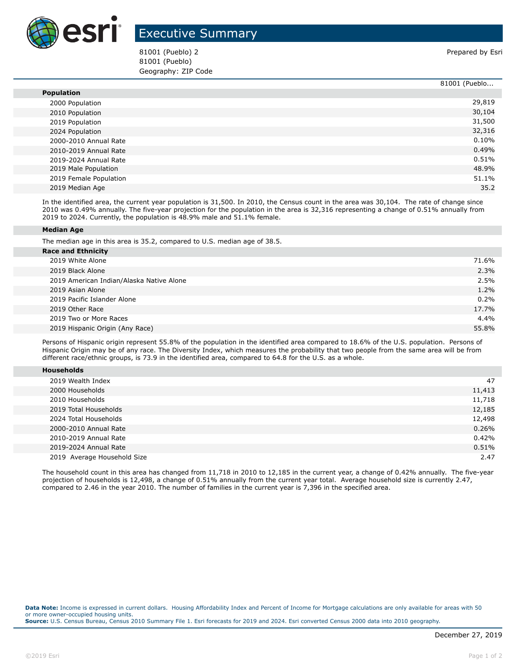

## Executive Summary

81001 (Pueblo) 2 **Prepared by Esri** 81001 (Pueblo) Geography: ZIP Code

|                        | 81001 (Pueblo |
|------------------------|---------------|
| <b>Population</b>      |               |
| 2000 Population        | 29,819        |
| 2010 Population        | 30,104        |
| 2019 Population        | 31,500        |
| 2024 Population        | 32,316        |
| 2000-2010 Annual Rate  | 0.10%         |
| 2010-2019 Annual Rate  | 0.49%         |
| 2019-2024 Annual Rate  | 0.51%         |
| 2019 Male Population   | 48.9%         |
| 2019 Female Population | 51.1%         |
| 2019 Median Age        | 35.2          |

In the identified area, the current year population is 31,500. In 2010, the Census count in the area was 30,104. The rate of change since 2010 was 0.49% annually. The five-year projection for the population in the area is 32,316 representing a change of 0.51% annually from 2019 to 2024. Currently, the population is 48.9% male and 51.1% female.

## **Median Age**

The median age in this area is 35.2, compared to U.S. median age of 38.5.

| <b>Race and Ethnicity</b>                |       |
|------------------------------------------|-------|
| 2019 White Alone                         | 71.6% |
| 2019 Black Alone                         | 2.3%  |
| 2019 American Indian/Alaska Native Alone | 2.5%  |
| 2019 Asian Alone                         | 1.2%  |
| 2019 Pacific Islander Alone              | 0.2%  |
| 2019 Other Race                          | 17.7% |
| 2019 Two or More Races                   | 4.4%  |
| 2019 Hispanic Origin (Any Race)          | 55.8% |
|                                          |       |

Persons of Hispanic origin represent 55.8% of the population in the identified area compared to 18.6% of the U.S. population. Persons of Hispanic Origin may be of any race. The Diversity Index, which measures the probability that two people from the same area will be from different race/ethnic groups, is 73.9 in the identified area, compared to 64.8 for the U.S. as a whole.

| <b>Households</b> |
|-------------------|
|-------------------|

| 2019 Wealth Index           | 47     |
|-----------------------------|--------|
| 2000 Households             | 11,413 |
| 2010 Households             | 11,718 |
| 2019 Total Households       | 12,185 |
| 2024 Total Households       | 12,498 |
| 2000-2010 Annual Rate       | 0.26%  |
| 2010-2019 Annual Rate       | 0.42%  |
| 2019-2024 Annual Rate       | 0.51%  |
| 2019 Average Household Size | 2.47   |

The household count in this area has changed from 11,718 in 2010 to 12,185 in the current year, a change of 0.42% annually. The five-year projection of households is 12,498, a change of 0.51% annually from the current year total. Average household size is currently 2.47, compared to 2.46 in the year 2010. The number of families in the current year is 7,396 in the specified area.

**Data Note:** Income is expressed in current dollars. Housing Affordability Index and Percent of Income for Mortgage calculations are only available for areas with 50 or more owner-occupied housing units. **Source:** U.S. Census Bureau, Census 2010 Summary File 1. Esri forecasts for 2019 and 2024. Esri converted Census 2000 data into 2010 geography.